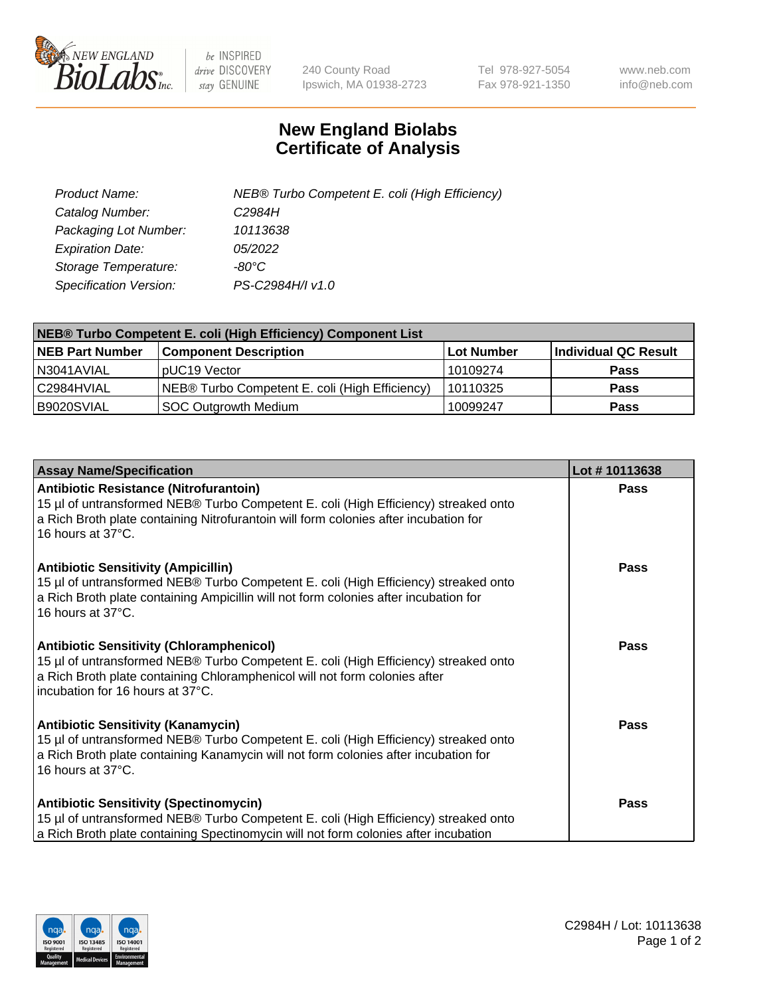

 $be$  INSPIRED drive DISCOVERY stay GENUINE

240 County Road Ipswich, MA 01938-2723 Tel 978-927-5054 Fax 978-921-1350 www.neb.com info@neb.com

## **New England Biolabs Certificate of Analysis**

| Product Name:           | NEB® Turbo Competent E. coli (High Efficiency) |
|-------------------------|------------------------------------------------|
| Catalog Number:         | C2984H                                         |
| Packaging Lot Number:   | 10113638                                       |
| <b>Expiration Date:</b> | 05/2022                                        |
| Storage Temperature:    | $-80^{\circ}$ C                                |
| Specification Version:  | PS-C2984H/I v1.0                               |

| NEB® Turbo Competent E. coli (High Efficiency) Component List |                                                |                   |                      |  |
|---------------------------------------------------------------|------------------------------------------------|-------------------|----------------------|--|
| <b>NEB Part Number</b>                                        | <b>Component Description</b>                   | <b>Lot Number</b> | Individual QC Result |  |
| N3041AVIAL                                                    | pUC19 Vector                                   | 10109274          | <b>Pass</b>          |  |
| C2984HVIAL                                                    | NEB® Turbo Competent E. coli (High Efficiency) | 10110325          | <b>Pass</b>          |  |
| B9020SVIAL                                                    | SOC Outgrowth Medium                           | 10099247          | <b>Pass</b>          |  |

| <b>Assay Name/Specification</b>                                                                                                                                                                                                                          | Lot #10113638 |
|----------------------------------------------------------------------------------------------------------------------------------------------------------------------------------------------------------------------------------------------------------|---------------|
| Antibiotic Resistance (Nitrofurantoin)<br>15 µl of untransformed NEB® Turbo Competent E. coli (High Efficiency) streaked onto<br>a Rich Broth plate containing Nitrofurantoin will form colonies after incubation for<br>16 hours at 37°C.               | Pass          |
| <b>Antibiotic Sensitivity (Ampicillin)</b><br>15 µl of untransformed NEB® Turbo Competent E. coli (High Efficiency) streaked onto<br>a Rich Broth plate containing Ampicillin will not form colonies after incubation for<br>16 hours at 37°C.           | <b>Pass</b>   |
| <b>Antibiotic Sensitivity (Chloramphenicol)</b><br>15 µl of untransformed NEB® Turbo Competent E. coli (High Efficiency) streaked onto<br>a Rich Broth plate containing Chloramphenicol will not form colonies after<br>incubation for 16 hours at 37°C. | Pass          |
| <b>Antibiotic Sensitivity (Kanamycin)</b><br>15 µl of untransformed NEB® Turbo Competent E. coli (High Efficiency) streaked onto<br>a Rich Broth plate containing Kanamycin will not form colonies after incubation for<br>16 hours at 37°C.             | Pass          |
| <b>Antibiotic Sensitivity (Spectinomycin)</b><br>15 µl of untransformed NEB® Turbo Competent E. coli (High Efficiency) streaked onto<br>a Rich Broth plate containing Spectinomycin will not form colonies after incubation                              | Pass          |